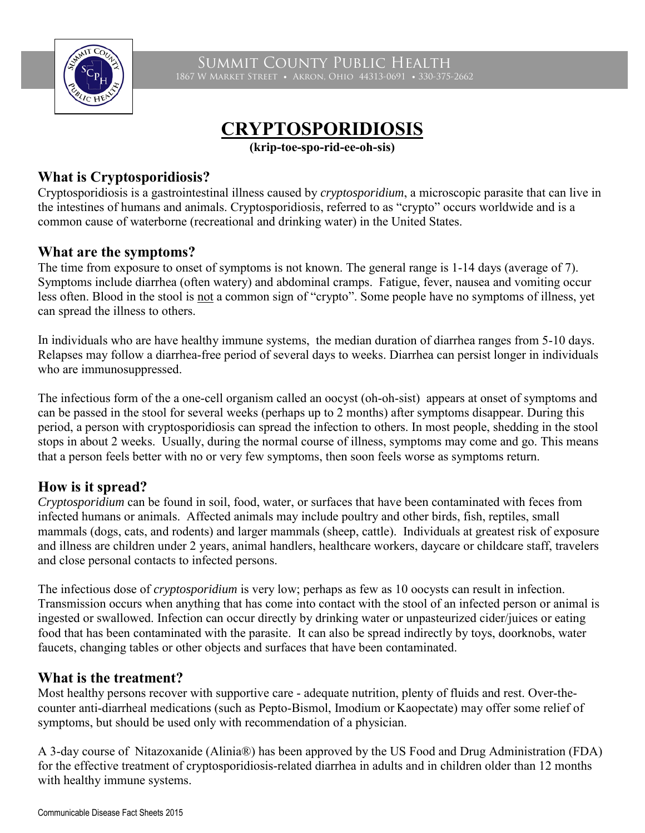

Summit County Public Health 1867 W Market Street • Akron, Ohio 44313-0691 • 330-375-2662

# **CRYPTOSPORIDIOSIS**

**(krip-toe-spo-rid-ee-oh-sis)**

#### **What is Cryptosporidiosis?**

Cryptosporidiosis is a gastrointestinal illness caused by *cryptosporidium*, a microscopic parasite that can live in the intestines of humans and animals. Cryptosporidiosis, referred to as "crypto" occurs worldwide and is a common cause of waterborne (recreational and drinking water) in the United States.

#### **What are the symptoms?**

The time from exposure to onset of symptoms is not known. The general range is 1-14 days (average of 7). Symptoms include diarrhea (often watery) and abdominal cramps. Fatigue, fever, nausea and vomiting occur less often. Blood in the stool is not a common sign of "crypto". Some people have no symptoms of illness, yet can spread the illness to others.

In individuals who are have healthy immune systems, the median duration of diarrhea ranges from 5-10 days. Relapses may follow a diarrhea-free period of several days to weeks. Diarrhea can persist longer in individuals who are immunosuppressed.

The infectious form of the a one-cell organism called an oocyst (oh-oh-sist) appears at onset of symptoms and can be passed in the stool for several weeks (perhaps up to 2 months) after symptoms disappear. During this period, a person with cryptosporidiosis can spread the infection to others. In most people, shedding in the stool stops in about 2 weeks. Usually, during the normal course of illness, symptoms may come and go. This means that a person feels better with no or very few symptoms, then soon feels worse as symptoms return.

### **How is it spread?**

*Cryptosporidium* can be found in soil, food, water, or surfaces that have been contaminated with feces from infected humans or animals. Affected animals may include poultry and other birds, fish, reptiles, small mammals (dogs, cats, and rodents) and larger mammals (sheep, cattle). Individuals at greatest risk of exposure and illness are children under 2 years, animal handlers, healthcare workers, daycare or childcare staff, travelers and close personal contacts to infected persons.

The infectious dose of *cryptosporidium* is very low; perhaps as few as 10 oocysts can result in infection. Transmission occurs when anything that has come into contact with the stool of an infected person or animal is ingested or swallowed. Infection can occur directly by drinking water or unpasteurized cider/juices or eating food that has been contaminated with the parasite. It can also be spread indirectly by toys, doorknobs, water faucets, changing tables or other objects and surfaces that have been contaminated.

### **What is the treatment?**

Most healthy persons recover with supportive care - adequate nutrition, plenty of fluids and rest. Over-thecounter anti-diarrheal medications (such as Pepto-Bismol, Imodium or Kaopectate) may offer some relief of symptoms, but should be used only with recommendation of a physician.

A 3-day course of Nitazoxanide (Alinia®) has been approved by the US Food and Drug Administration (FDA) for the effective treatment of cryptosporidiosis-related diarrhea in adults and in children older than 12 months with healthy immune systems.